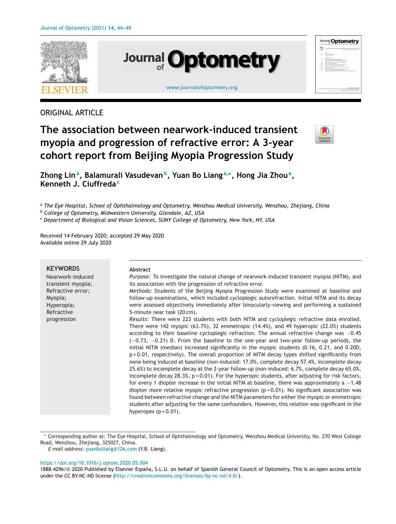

# ORIGINAL ARTICLE

# **The association between nearwork-induced transient myopia and progression of refractive error: A 3-year cohort report from Beijing Myopia Progression Study**



**Zhong Lina, Balamurali Vasudevanb, Yuan Bo Liang <sup>a</sup>,∗, Hong Jia Zhoua, Kenneth J. Ciuffreda<sup>c</sup>**

<sup>a</sup> *The Eye Hospital, School of Ophthalmology and Optometry, Wenzhou Medical University, Wenzhou, Zhejiang, China*

<sup>b</sup> *College of Optometry, Midwestern University, Glendale, AZ, USA*

<sup>c</sup> *Department of Biological and Vision Sciences, SUNY College of Optometry, New York, NY, USA*

Received 14 February 2020; accepted 29 May 2020 Available online 29 July 2020

| <b>KEYWORDS</b><br>Nearwork-induced<br>transient myopia;<br>Refractive error;<br>Myopia;<br>Hyperopia;<br>Refractive<br>progression | Abstract<br><i>Purpose:</i> To investigate the natural change of nearwork-induced transient myopia (NITM), and<br>its association with the progression of refractive error.<br>Methods: Students of the Beijing Myopia Progression Study were examined at baseline and<br>follow-up examinations, which included cycloplegic autorefraction. Initial NITM and its decay<br>were assessed objectively immediately after binocularly-viewing and performing a sustained<br>5-minute near task (20 cm).<br>Results: There were 223 students with both NITM and cycloplegic refractive data enrolled.<br>There were 142 myopic $(63.7\%)$ , 32 emmetropic $(14.4\%)$ , and 49 hyperopic $(22.0\%)$ students<br>according to their baseline cycloplegic refraction. The annual refractive change was $-0.45$<br>$(-0.73, -0.21)$ D. From the baseline to the one-year and two-year follow-up periods, the<br>initial NITM (median) increased significantly in the myopic students (0.16, 0.21, and 0.20D,<br>$p = 0.01$ , respectively). The overall proportion of NITM decay types shifted significantly from<br>none being induced at baseline (non-induced: 17.0%, complete decay 57.4%, incomplete decay<br>25.6%) to incomplete decay at the 2-year follow-up (non-induced: 6.7%, complete decay 65.0%,<br>incomplete decay $28.3\%$ , $p = 0.01$ ). For the hyperopic students, after adjusting for risk factors,<br>for every 1 diopter increase in the initial NITM at baseline, there was approximately a $-1.48$<br>diopter more relative myopic refractive progression ( $p = 0.01$ ). No significant association was<br>found between refractive change and the NITM parameters for either the myopic or emmetropic |
|-------------------------------------------------------------------------------------------------------------------------------------|----------------------------------------------------------------------------------------------------------------------------------------------------------------------------------------------------------------------------------------------------------------------------------------------------------------------------------------------------------------------------------------------------------------------------------------------------------------------------------------------------------------------------------------------------------------------------------------------------------------------------------------------------------------------------------------------------------------------------------------------------------------------------------------------------------------------------------------------------------------------------------------------------------------------------------------------------------------------------------------------------------------------------------------------------------------------------------------------------------------------------------------------------------------------------------------------------------------------------------------------------------------------------------------------------------------------------------------------------------------------------------------------------------------------------------------------------------------------------------------------------------------------------------------------------------------------------------------------------------------------------------------------------------------------------------------------------------------------------|
|                                                                                                                                     | students after adjusting for the same confounders. However, this relation was significant in the<br>hyperopes $(p = 0.01)$ .                                                                                                                                                                                                                                                                                                                                                                                                                                                                                                                                                                                                                                                                                                                                                                                                                                                                                                                                                                                                                                                                                                                                                                                                                                                                                                                                                                                                                                                                                                                                                                                               |

<sup>∗</sup> Corresponding author at: The Eye Hospital, School of Ophthalmology and Optometry, Wenzhou Medical University, No. 270 West College Road, Wenzhou, Zhejiang, 325027, China.

#### <https://doi.org/10.1016/j.optom.2020.05.004>

*E-mail address:* [yuanboliang@126.com](mailto:yuanboliang@126.com) (Y.B. Liang).

<sup>1888-4296/© 2020</sup> Published by Elsevier España, S.L.U. on behalf of Spanish General Council of Optometry. This is an open access article under the CC BY-NC-ND license [\(http://creativecommons.org/licenses/by-nc-nd/4.0/\)](http://creativecommons.org/licenses/by-nc-nd/4.0/).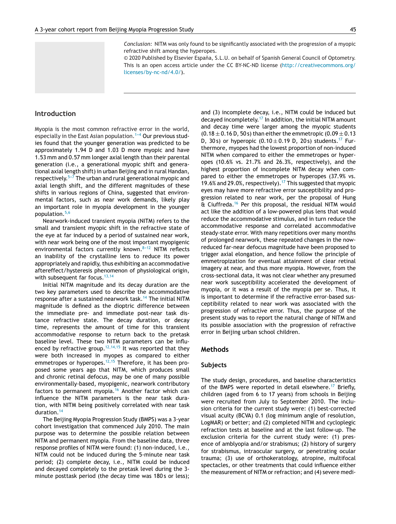*Conclusion:* NITM was only found to be significantly associated with the progression of a myopic refractive shift among the hyperopes.

© 2020 Published by Elsevier España, S.L.U. on behalf of Spanish General Council of Optometry. This is an open access article under the CC BY-NC-ND license ([http://creativecommons.org/](http://creativecommons.org/licenses/by-nc-nd/4.0/) [licenses/by-nc-nd/4.0/](http://creativecommons.org/licenses/by-nc-nd/4.0/)).

# **Introduction**

Myopia is the most common refractive error in the world, especially in the East Asian population.<sup>1-4</sup> Our previous studies found that the younger generation was predicted to be approximately 1.94 D and 1.03 D more myopic and have 1.53 mm and 0.57 mm longer axial length than their parental generation (i.e., a generational myopic shift and generational axial length shift) in urban Beijing and in rural Handan, respectively.<sup>5-7</sup> The urban and rural generational myopic and axial length shift, and the different magnitudes of these shifts in various regions of China, suggested that environmental factors, such as near work demands, likely play an important role in myopia development in the younger population.[5,6](#page-5-0)

Nearwork-induced transient myopia (NITM) refers to the small and transient myopic shift in the refractive state of the eye at far induced by a period of sustained near work, with near work being one of the most important myopigenic environmental factors currently known. $8-12$  NITM reflects an inability of the crystalline lens to reduce its power appropriately and rapidly, thus exhibiting an accommodative aftereffect/hysteresis phenomenon of physiological origin, with subsequent far focus.  $13,14$ 

Initial NITM magnitude and its decay duration are the two key parameters used to describe the accommodative response after a sustained nearwork task.<sup>[14](#page-5-0)</sup> The initial NITM magnitude is defined as the dioptric difference between the immediate pre- and immediate post-near task distance refractive state. The decay duration, or decay time, represents the amount of time for this transient accommodative response to return back to the pretask baseline level. These two NITM parameters can be influ-enced by refractive group.<sup>[12,14,15](#page-5-0)</sup> It was reported that they were both increased in myopes as compared to either emmetropes or hyperopes.<sup>[12,15](#page-5-0)</sup> Therefore, it has been proposed some years ago that NITM, which produces small and chronic retinal defocus, may be one of many possible environmentally-based, myopigenic, nearwork contributory factors to permanent myopia.[16](#page-5-0) Another factor which can influence the NITM parameters is the near task duration, with NITM being positively correlated with near task duration.[14](#page-5-0)

The Beijing Myopia Progression Study (BMPS) was a 3-year cohort investigation that commenced July 2010. The main purpose was to determine the possible relation between NITM and permanent myopia. From the baseline data, three response profiles of NITM were found: (1) non-induced, i.e., NITM could not be induced during the 5-minute near task period; (2) complete decay, i.e., NITM could be induced and decayed completely to the pretask level during the 3 minute posttask period (the decay time was 180s or less); and (3) incomplete decay, i.e., NITM could be induced but decayed incompletely.[17](#page-5-0) In addition, the initial NITM amount and decay time were larger among the myopic students  $(0.18 \pm 0.16 \text{ D}, 50 \text{ s})$  than either the emmetropic  $(0.09 \pm 0.13 \text{ m})$ D, 30 s) or hyperopic  $(0.10 \pm 0.19)$  D, 20 s) students.<sup>[17](#page-5-0)</sup> Furthermore, myopes had the lowest proportion of non-induced NITM when compared to either the emmetropes or hyperopes (10.6% vs. 21.7% and 26.3%, respectively), and the highest proportion of incomplete NITM decay when compared to either the emmetropes or hyperopes (37.9% vs. 19.6% and 29.0%, respectively).<sup>[17](#page-5-0)</sup> This suggested that myopic eyes may have more refractive error susceptibility and progression related to near work, per the proposal of Hung & Ciuffreda.[16](#page-5-0) Per this proposal, the residual NITM would act like the addition of a low-powered plus lens that would reduce the accommodative stimulus, and in turn reduce the accommodative response and correlated accommodative steady-state error. With many repetitions over many months of prolonged nearwork, these repeated changes in the nowreduced far-near defocus magnitude have been proposed to trigger axial elongation, and hence follow the principle of emmetropization for eventual attainment of clear retinal imagery at near, and thus more myopia. However, from the cross-sectional data, it was not clear whether any presumed near work susceptibility accelerated the development of myopia, or it was a result of the myopia per se. Thus, it is important to determine if the refractive error-based susceptibility related to near work was associated with the progression of refractive error. Thus, the purpose of the present study was to report the natural change of NITM and its possible association with the progression of refractive error in Beijing urban school children.

# **Methods**

# **Subjects**

The study design, procedures, and baseline characteristics of the BMPS were reported in detail elsewhere.<sup>[17](#page-5-0)</sup> Briefly, children (aged from 6 to 17 years) from schools in Beijing were recruited from July to September 2010. The inclusion criteria for the current study were: (1) best-corrected visual acuity (BCVA) 0.1 (log minimum angle of resolution, LogMAR) or better; and (2) completed NITM and cycloplegic refraction tests at baseline and at the last follow-up. The exclusion criteria for the current study were: (1) presence of amblyopia and/or strabismus; (2) history of surgery for strabismus, intraocular surgery, or penetrating ocular trauma; (3) use of orthokeratology, atropine, multifocal spectacles, or other treatments that could influence either the measurement of NITM or refraction; and (4) severe medi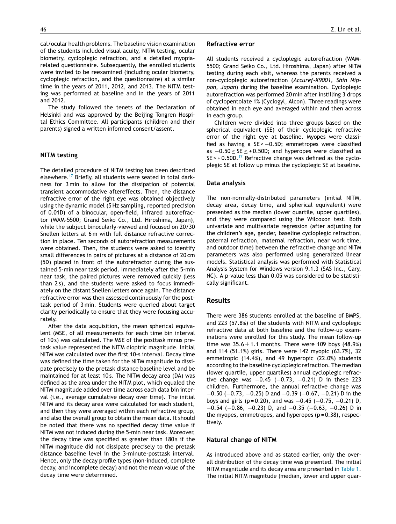cal/ocular health problems. The baseline vision examination of the students included visual acuity, NITM testing, ocular biometry, cycloplegic refraction, and a detailed myopiarelated questionnaire. Subsequently, the enrolled students were invited to be reexamined (including ocular biometry, cycloplegic refraction, and the questionnaire) at a similar time in the years of 2011, 2012, and 2013. The NITM testing was performed at baseline and in the years of 2011 and 2012.

The study followed the tenets of the Declaration of Helsinki and was approved by the Beijing Tongren Hospital Ethics Committee. All participants (children and their parents) signed a written informed consent/assent.

#### **NITM testing**

The detailed procedure of NITM testing has been described elsewhere.<sup>[17](#page-5-0)</sup> Briefly, all students were seated in total darkness for 3 min to allow for the dissipation of potential transient accommodative aftereffects. Then, the distance refractive error of the right eye was obtained objectively using the dynamic model (5 Hz sampling, reported precision of 0.01D) of a binocular, open-field, infrared autorefractor (WAM-5500; Grand Seiko Co., Ltd. Hiroshima, Japan), while the subject binocularly-viewed and focused on 20/30 Snellen letters at 6 m with full distance refractive correction in place. Ten seconds of autorefraction measurements were obtained. Then, the students were asked to identify small differences in pairs of pictures at a distance of 20 cm (5D) placed in front of the autorefractor during the sustained 5-min near task period. Immediately after the 5-min near task, the paired pictures were removed quickly (less than 2 s), and the students were asked to focus immediately on the distant Snellen letters once again. The distance refractive error was then assessed continuously for the posttask period of 3 min. Students were queried about target clarity periodically to ensure that they were focusing accurately.

After the data acquisition, the mean spherical equivalent (MSE, of all measurements for each time bin interval of 10 s) was calculated. The MSE of the posttask minus pretask value represented the NITM dioptric magnitude. Initial NITM was calculated over the first 10-s interval. Decay time was defined the time taken for the NITM magnitude to dissipate precisely to the pretask distance baseline level and be maintained for at least 10 s. The NITM decay area (DA) was defined as the area under the NITM plot, which equaled the NITM magnitude added over time across each data bin interval (i.e., average cumulative decay over time). The initial NITM and its decay area were calculated for each student, and then they were averaged within each refractive group, and also the overall group to obtain the mean data. It should be noted that there was no specified decay time value if NITM was not induced during the 5-min near task. Moreover, the decay time was specified as greater than 180s if the NITM magnitude did not dissipate precisely to the pretask distance baseline level in the 3-minute-posttask interval. Hence, only the decay profile types (non-induced, complete decay, and incomplete decay) and not the mean value of the decay time were determined.

#### **Refractive error**

All students received a cycloplegic autorefraction (WAM-5500; Grand Seiko Co., Ltd. Hiroshima, Japan) after NITM testing during each visit, whereas the parents received a non-cycloplegic autorefraction (*Accuref-K9001, Shin Nippon, Japan*) during the baseline examination. Cycloplegic autorefraction was performed 20 min after instilling 3 drops of cyclopentolate 1% (Cyclogyl, Alcon). Three readings were obtained in each eye and averaged within and then across in each group.

Children were divided into three groups based on the spherical equivalent (SE) of their cycloplegic refractive error of the right eye at baseline. Myopes were classified as having a  $SE < -0.5D$ ; emmetropes were classified as −0.50 ≤ SE ≤ + 0.50D; and hyperopes were classified as  $SE$  > + 0.50D.<sup>[17](#page-5-0)</sup> Refractive change was defined as the cycloplegic SE at follow up minus the cycloplegic SE at baseline.

#### **Data analysis**

The non-normally-distributed parameters (initial NITM, decay area, decay time, and spherical equivalent) were presented as the median (lower quartile, upper quartiles), and they were compared using the Wilcoxon test. Both univariate and multivariate regression (after adjusting for the children's age, gender, baseline cycloplegic refraction, paternal refraction, maternal refraction, near work time, and outdoor time) between the refractive change and NITM parameters was also performed using generalized linear models. Statistical analysis was performed with Statistical Analysis System for Windows version 9.1.3 (SAS Inc., Cary, NC). A p-value less than 0.05 was considered to be statistically significant.

## **Results**

There were 386 students enrolled at the baseline of BMPS, and 223 (57.8%) of the students with NITM and cycloplegic refractive data at both baseline and the follow-up examinations were enrolled for this study. The mean follow-up time was  $35.6 \pm 1.1$  months. There were 109 boys (48.9%) and 114 (51.1%) girls. There were 142 myopic (63.7%), 32 emmetropic (14.4%), and 49 hyperopic (22.0%) students according to the baseline cycloplegic refraction. The median (lower quartile, upper quartiles) annual cycloplegic refractive change was  $-0.45$  ( $-0.73$ ,  $-0.21$ ) D in these 223 children. Furthermore, the annual refractive change was −0.50 (−0.73, −0.25) D and −0.39 (−0.67, −0.21) D in the boys and girls (p=0.20), and was  $-0.45$  ( $-0.75$ ,  $-0.21$ ) D, −0.54 (−0.86, −0.23) D, and −0.35 (−0.63, −0.26) D in the myopes, emmetropes, and hyperopes (p = 0.38), respectively.

#### **Natural change of NITM**

As introduced above and as stated earlier, only the overall distribution of the decay time was presented. The initial NITM magnitude and its decay area are presented in [Table](#page-3-0) 1. The initial NITM magnitude (median, lower and upper quar-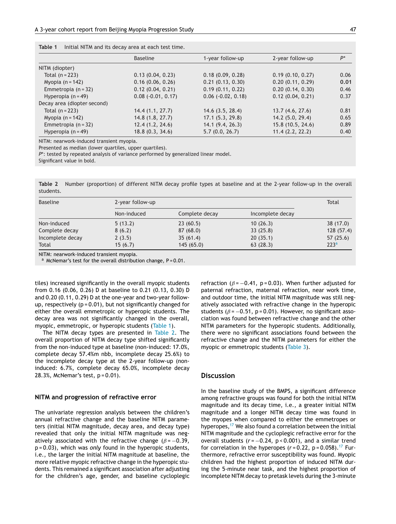<span id="page-3-0"></span>

| Table 1<br>Initial NITM and its decay area at each test time. |  |  |  |
|---------------------------------------------------------------|--|--|--|
|---------------------------------------------------------------|--|--|--|

|                             | <b>Baseline</b>             | 1-year follow-up            | 2-year follow-up  | $P^*$ |
|-----------------------------|-----------------------------|-----------------------------|-------------------|-------|
| NITM (diopter)              |                             |                             |                   |       |
| Total $(n = 223)$           | 0.13(0.04, 0.23)            | 0.18(0.09, 0.28)            | 0.19(0.10, 0.27)  | 0.06  |
| Myopia $(n = 142)$          | 0.16(0.06, 0.26)            | 0.21(0.13, 0.30)            | 0.20(0.11, 0.29)  | 0.01  |
| Emmetropia $(n = 32)$       | 0.12(0.04, 0.21)            | 0.19(0.11, 0.22)            | 0.20(0.14, 0.30)  | 0.46  |
| Hyperopia $(n = 49)$        | $0.08$ ( $-0.01$ , $0.17$ ) | $0.06$ ( $-0.02$ , $0.18$ ) | 0.12(0.04, 0.21)  | 0.37  |
| Decay area (diopter second) |                             |                             |                   |       |
| Total $(n = 223)$           | 14.4(1.1, 27.7)             | 14.6(3.5, 28.4)             | 13.7(4.6, 27.6)   | 0.81  |
| Myopia $(n = 142)$          | 14.8(1.8, 27.7)             | 17.1(5.3, 29.8)             | 14.2 (5.0, 29.4)  | 0.65  |
| Emmetropia (n = 32)         | 12.4(1.2, 24.6)             | 14.1(9.4, 26.3)             | 15.8 (10.5, 24.6) | 0.89  |
| Hyperopia $(n = 49)$        | 18.8(0.3, 34.6)             | 5.7(0.0, 26.7)              | 11.4(2.2, 22.2)   | 0.40  |

NITM: nearwork-induced transient myopia.

Presented as median (lower quartiles, upper quartiles).

*P*\*: tested by repeated analysis of variance performed by generalized linear model.

Significant value in bold.

**Table 2** Number (proportion) of different NITM decay profile types at baseline and at the 2-year follow-up in the overall students.

| <b>Baseline</b>  | 2-year follow-up |                | Total            |                  |
|------------------|------------------|----------------|------------------|------------------|
|                  | Non-induced      | Complete decay | Incomplete decay |                  |
| Non-induced      | 5(13.2)          | 23(60.5)       | 10(26.3)         | 38(17.0)         |
| Complete decay   | 8(6.2)           | 87(68.0)       | 33(25.8)         | 128(57.4)        |
| Incomplete decay | 2(3.5)           | 35(61.4)       | 20(35.1)         | 57(25.6)         |
| Total            | 15(6.7)          | 145(65.0)      | 63(28.3)         | 223 <sup>a</sup> |

NITM: nearwork-induced transient myopia.

 $a$  McNemar's test for the overall distribution change, P = 0.01.

tiles) increased significantly in the overall myopic students from 0.16 (0.06, 0.26) D at baseline to 0.21 (0.13, 0.30) D and 0.20 (0.11, 0.29) D at the one-year and two-year followup, respectively ( $p = 0.01$ ), but not significantly changed for either the overall emmetropic or hyperopic students. The decay area was not significantly changed in the overall, myopic, emmetropic, or hyperopic students (Table 1).

The NITM decay types are presented in Table 2. The overall proportion of NITM decay type shifted significantly from the non-induced type at baseline (non-induced: 17.0%, complete decay 57.4%m nbb, incomplete decay 25.6%) to the incomplete decay type at the 2-year follow-up (noninduced: 6.7%, complete decay 65.0%, incomplete decay 28.3%, McNemar's test, p = 0.01).

# **NITM and progression of refractive error**

The univariate regression analysis between the children's annual refractive change and the baseline NITM parameters (initial NITM magnitude, decay area, and decay type) revealed that only the initial NITM magnitude was negatively associated with the refractive change ( $\beta$  = -0.39, p = 0.03), which was *only* found in the hyperopic students, i.e., the larger the initial NITM magnitude at baseline, the more relative myopic refractive change in the hyperopic students. This remained a significant association after adjusting for the children's age, gender, and baseline cycloplegic refraction ( $\beta$  = -0.41, p = 0.03). When further adjusted for paternal refraction, maternal refraction, near work time, and outdoor time, the initial NITM magnitude was still negatively associated with refractive change in the hyperopic students ( $\beta$  = -0.51, p = 0.01). However, no significant association was found between refractive change and the other NITM parameters for the hyperopic students. Additionally, there were no significant associations found between the refractive change and the NITM parameters for either the myopic or emmetropic students [\(Table](#page-4-0) 3).

# **Discussion**

In the baseline study of the BMPS, a significant difference among refractive groups was found for both the initial NITM magnitude and its decay time, i.e., a greater initial NITM magnitude and a longer NITM decay time was found in the myopes when compared to either the emmetropes or hyperopes, $17$  We also found a correlation between the initial NITM magnitude and the cycloplegic refractive error for the overall students  $(r = -0.24, p < 0.001)$ , and a similar trend for correlation in the hyperopes  $(r=0.22, p=0.058).$ <sup>[17](#page-5-0)</sup> Furthermore, refractive error susceptibility was found. Myopic children had the highest proportion of induced NITM during the 5-minute near task, and the highest proportion of incomplete NITM decay to pretask levels during the 3-minute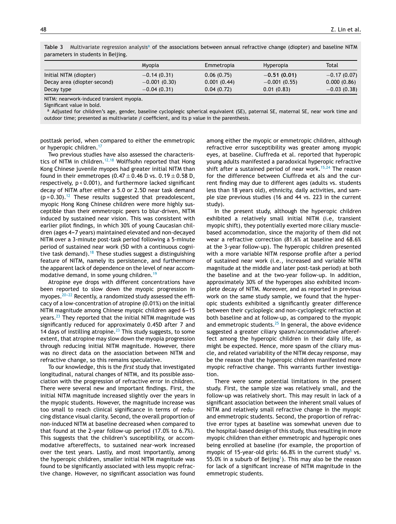|                             | Myopia         | Emmetropia  | <b>Hyperopia</b> | Total         |
|-----------------------------|----------------|-------------|------------------|---------------|
| Initial NITM (diopter)      | $-0.14(0.31)$  | 0.06(0.75)  | $-0.51(0.01)$    | $-0.17(0.07)$ |
| Decay area (diopter-second) | $-0.001(0.30)$ | 0.001(0.44) | $-0.001(0.55)$   | 0.000(0.86)   |
| Decay type                  | $-0.04(0.31)$  | 0.04(0.72)  | 0.01(0.83)       | $-0.03(0.38)$ |

<span id="page-4-0"></span>Table 3 Multivariate regression analysis<sup>a</sup> of the associations between annual refractive change (diopter) and baseline NITM parameters in students in Beijing.

NITM: nearwork-induced transient myopia.

Significant value in bold.

a Adjusted for children's age, gender, baseline cycloplegic spherical equivalent (SE), paternal SE, maternal SE, near work time and outdoor time; presented as multivariate  $\beta$  coefficient, and its p value in the parenthesis.

posttask period, when compared to either the emmetropic or hyperopic children.<sup>[17](#page-5-0)</sup>

Two previous studies have also assessed the characteris-tics of NITM in children.<sup>[12,18](#page-5-0)</sup> Wolffsohn reported that Hong Kong Chinese juvenile myopes had greater initial NITM than found in their emmetropes (0.47  $\pm$  0.46 D vs. 0.19  $\pm$  0.58 D, respectively, p < 0.001), and furthermore lacked significant decay of NITM after either a 5.0 or 2.5D near task demand  $(p = 0.30).$ <sup>[12](#page-5-0)</sup> These results suggested that preadolescent, myopic Hong Kong Chinese children were more highly susceptible than their emmetropic peers to blur-driven, NITM induced by sustained near vision. This was consistent with earlier pilot findings, in which 30% of young Caucasian children (ages 4-7 years) maintained elevated and non-decayed NITM over a 3-minute post-task period following a 5-minute period of sustained near work (5D with a continuous cogni-tive task demand).<sup>[18](#page-5-0)</sup> These studies suggest a distinguishing feature of NITM, namely its persistence, and furthermore the apparent lack of dependence on the level of near accom-modative demand, in some young children.<sup>[19](#page-5-0)</sup>

Atropine eye drops with different concentrations have been reported to slow down the myopic progression in myopes. $20-22$  Recently, a randomized study assessed the efficacy of a low-concentration of atropine (0.01%) on the initial NITM magnitude among Chinese myopic children aged 6-15 years.[23](#page-5-0) They reported that the initial NITM magnitude was significantly reduced for approximately 0.45D after 7 and 14 days of instilling atropine.<sup>[23](#page-5-0)</sup> This study suggests, to some extent, that atropine may slow down the myopia progression through reducing initial NITM magnitude. However, there was no direct data on the association between NITM and refractive change, so this remains speculative.

To our knowledge, this is the *first* study that investigated longitudinal, natural changes of NITM, and its possible association with the progression of refractive error in children. There were several new and important findings. First, the initial NITM magnitude increased slightly over the years in the myopic students. However, the magnitude increase was too small to reach clinical significance in terms of reducing distance visual clarity. Second, the overall proportion of non-induced NITM at baseline decreased when compared to that found at the 2-year follow-up period (17.0% to 6.7%). This suggests that the children's susceptibility, or accommodative aftereffects, to sustained near-work increased over the test years. Lastly, and most importantly, among the hyperopic children, smaller initial NITM magnitude was found to be significantly associated with less myopic refractive change. However, no significant association was found

among either the myopic or emmetropic children, although refractive error susceptibility was greater among myopic eyes, at baseline. Ciuffreda et al. reported that hyperopic young adults manifested a paradoxical hyperopic refractive shift after a sustained period of near work.<sup>[15,24](#page-5-0)</sup> The reason for the difference between Ciuffreda et als and the current finding may due to different ages (adults vs. students less than 18 years old), ethnicity, daily activities, and sample size previous studies (16 and 44 vs. 223 in the current study).

In the present study, although the hyperopic children exhibited a relatively small initial NITM (i.e, transient myopic shift), they potentially exerted more ciliary musclebased accommodation, since the majority of them did not wear a refractive correction (81.6% at baseline and 68.6% at the 3-year follow-up). The hyperopic children presented with a more variable NITM response profile after a period of sustained near work (i.e., increased and variable NITM magnitude at the middle and later post-task period) at both the baseline and at the two-year follow-up. In addition, approximately 30% of the hyperopes also exhibited incomplete decay of NITM. Moreover, and as reported in previous work on the same study sample, we found that the hyperopic students exhibited a significantly greater difference between their cycloplegic and non-cycloplegic refraction at both baseline and at follow-up, as compared to the myopic and emmetropic students. $25$  In general, the above evidence suggested a greater ciliary spasm/accommodative aftereffect among the hyperopic children in their daily life, as might be expected. Hence, more spasm of the ciliary muscle, and related variability of the NITM decay response, may be the reason that the hyperopic children manifested more myopic refractive change. This warrants further investigation.

There were some potential limitations in the present study. First, the sample size was relatively small, and the follow-up was relatively short. This may result in lack of a significant association between the inherent small values of NITM and relatively small refractive change in the myopic and emmetropic students. Second, the proportion of refractive error types at baseline was somewhat uneven due to the hospital-based design of this study, thus resulting in more myopic children than either emmetropic and hyperopic ones being enrolled at baseline (for example, the proportion of myopic of 1[5](#page-5-0)-year-old girls: 66.8% in the current study<sup>5</sup> vs. 55.0% in a suburb of Beijing<sup>1</sup>). This may also be the reason for lack of a significant increase of NITM magnitude in the emmetropic students.